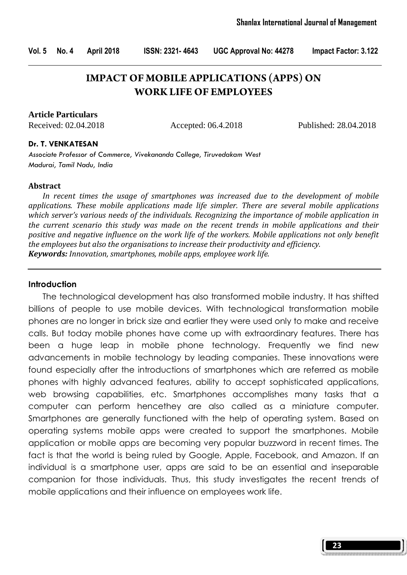Vol. 5 No. 4 April 2018 ISSN: 2321- 4643 UGC Approval No: 44278 Impact Factor: 3.122

# **IMPACT OF MOBILE APPLICATIONS (APPS) ON WORK LIFE OF EMPLOYEES**

#### **Article Particulars**

Received: 02.04.2018 Accepted: 06.4.2018 Published: 28.04.2018

#### Dr. T. VENKATESAN

Associate Professor of Commerce, Vivekananda College, Tiruvedakam West Madurai, Tamil Nadu, India

#### Abstract

 In recent times the usage of smartphones was increased due to the development of mobile applications. These mobile applications made life simpler. There are several mobile applications which server's various needs of the individuals. Recognizing the importance of mobile application in the current scenario this study was made on the recent trends in mobile applications and their positive and negative influence on the work life of the workers. Mobile applications not only benefit the employees but also the organisations to increase their productivity and efficiency. Keywords: Innovation, smartphones, mobile apps, employee work life.

#### Introduction

 The technological development has also transformed mobile industry. It has shifted billions of people to use mobile devices. With technological transformation mobile phones are no longer in brick size and earlier they were used only to make and receive calls. But today mobile phones have come up with extraordinary features. There has been a huge leap in mobile phone technology. Frequently we find new advancements in mobile technology by leading companies. These innovations were found especially after the introductions of smartphones which are referred as mobile phones with highly advanced features, ability to accept sophisticated applications, web browsing capabilities, etc. Smartphones accomplishes many tasks that a computer can perform hencethey are also called as a miniature computer. Smartphones are generally functioned with the help of operating system. Based on operating systems mobile apps were created to support the smartphones. Mobile application or mobile apps are becoming very popular buzzword in recent times. The fact is that the world is being ruled by Google, Apple, Facebook, and Amazon. If an individual is a smartphone user, apps are said to be an essential and inseparable companion for those individuals. Thus, this study investigates the recent trends of mobile applications and their influence on employees work life.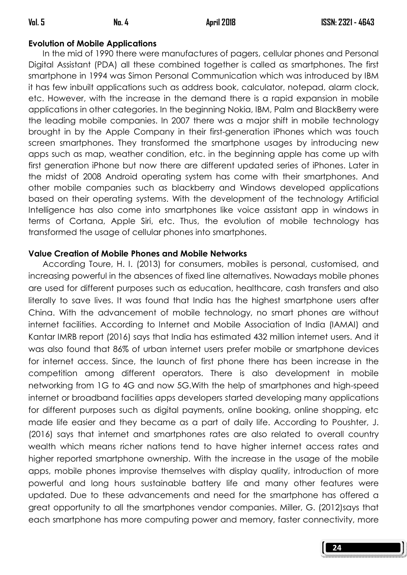### Evolution of Mobile Applications

 In the mid of 1990 there were manufactures of pagers, cellular phones and Personal Digital Assistant (PDA) all these combined together is called as smartphones. The first smartphone in 1994 was Simon Personal Communication which was introduced by IBM it has few inbuilt applications such as address book, calculator, notepad, alarm clock, etc. However, with the increase in the demand there is a rapid expansion in mobile applications in other categories. In the beginning Nokia, IBM, Palm and BlackBerry were the leading mobile companies. In 2007 there was a major shift in mobile technology brought in by the Apple Company in their first-generation iPhones which was touch screen smartphones. They transformed the smartphone usages by introducing new apps such as map, weather condition, etc. in the beginning apple has come up with first generation iPhone but now there are different updated series of iPhones. Later in the midst of 2008 Android operating system has come with their smartphones. And other mobile companies such as blackberry and Windows developed applications based on their operating systems. With the development of the technology Artificial Intelligence has also come into smartphones like voice assistant app in windows in terms of Cortana, Apple Siri, etc. Thus, the evolution of mobile technology has transformed the usage of cellular phones into smartphones.

### Value Creation of Mobile Phones and Mobile Networks

 According Toure, H. I. (2013) for consumers, mobiles is personal, customised, and increasing powerful in the absences of fixed line alternatives. Nowadays mobile phones are used for different purposes such as education, healthcare, cash transfers and also literally to save lives. It was found that India has the highest smartphone users after China. With the advancement of mobile technology, no smart phones are without internet facilities. According to Internet and Mobile Association of India (IAMAI) and Kantar IMRB report (2016) says that India has estimated 432 million internet users. And it was also found that 86% of urban internet users prefer mobile or smartphone devices for internet access. Since, the launch of first phone there has been increase in the competition among different operators. There is also development in mobile networking from 1G to 4G and now 5G.With the help of smartphones and high-speed internet or broadband facilities apps developers started developing many applications for different purposes such as digital payments, online booking, online shopping, etc made life easier and they became as a part of daily life. According to Poushter, J. (2016) says that internet and smartphones rates are also related to overall country wealth which means richer nations tend to have higher internet access rates and higher reported smartphone ownership. With the increase in the usage of the mobile apps, mobile phones improvise themselves with display quality, introduction of more powerful and long hours sustainable battery life and many other features were updated. Due to these advancements and need for the smartphone has offered a great opportunity to all the smartphones vendor companies. Miller, G. (2012)says that each smartphone has more computing power and memory, faster connectivity, more

24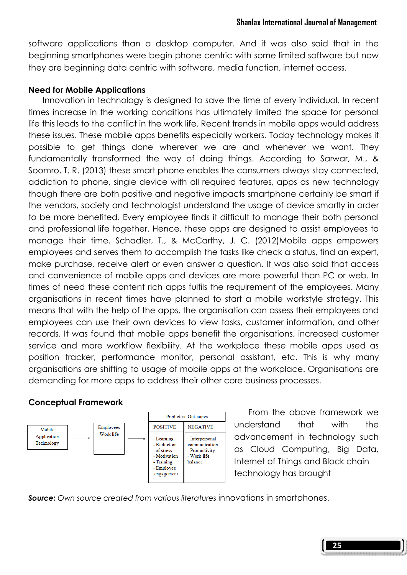software applications than a desktop computer. And it was also said that in the beginning smartphones were begin phone centric with some limited software but now they are beginning data centric with software, media function, internet access.

### Need for Mobile Applications

 Innovation in technology is designed to save the time of every individual. In recent times increase in the working conditions has ultimately limited the space for personal life this leads to the conflict in the work life. Recent trends in mobile apps would address these issues. These mobile apps benefits especially workers. Today technology makes it possible to get things done wherever we are and whenever we want. They fundamentally transformed the way of doing things. According to Sarwar, M., & Soomro, T. R. (2013) these smart phone enables the consumers always stay connected, addiction to phone, single device with all required features, apps as new technology though there are both positive and negative impacts smartphone certainly be smart if the vendors, society and technologist understand the usage of device smartly in order to be more benefited. Every employee finds it difficult to manage their both personal and professional life together. Hence, these apps are designed to assist employees to manage their time. Schadler, T., & McCarthy, J. C. (2012)Mobile apps empowers employees and serves them to accomplish the tasks like check a status, find an expert, make purchase, receive alert or even answer a question. It was also said that access and convenience of mobile apps and devices are more powerful than PC or web. In times of need these content rich apps fulfils the requirement of the employees. Many organisations in recent times have planned to start a mobile workstyle strategy. This means that with the help of the apps, the organisation can assess their employees and employees can use their own devices to view tasks, customer information, and other records. It was found that mobile apps benefit the organisations, increased customer service and more workflow flexibility. At the workplace these mobile apps used as position tracker, performance monitor, personal assistant, etc. This is why many organisations are shifting to usage of mobile apps at the workplace. Organisations are demanding for more apps to address their other core business processes.

### Conceptual Framework



From the above framework we understand that with the advancement in technology such as Cloud Computing, Big Data, Internet of Things and Block chain technology has brought

Source: Own source created from various literatures innovations in smartphones.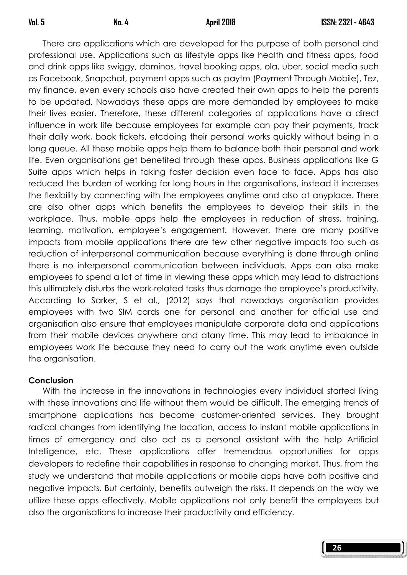There are applications which are developed for the purpose of both personal and professional use. Applications such as lifestyle apps like health and fitness apps, food and drink apps like swiggy, dominos, travel booking apps, ola, uber, social media such as Facebook, Snapchat, payment apps such as paytm (Payment Through Mobile), Tez, my finance, even every schools also have created their own apps to help the parents to be updated. Nowadays these apps are more demanded by employees to make their lives easier. Therefore, these different categories of applications have a direct influence in work life because employees for example can pay their payments, track their daily work, book tickets, etcdoing their personal works quickly without being in a long queue. All these mobile apps help them to balance both their personal and work life. Even organisations get benefited through these apps. Business applications like G Suite apps which helps in taking faster decision even face to face. Apps has also reduced the burden of working for long hours in the organisations, instead it increases the flexibility by connecting with the employees anytime and also at anyplace. There are also other apps which benefits the employees to develop their skills in the workplace. Thus, mobile apps help the employees in reduction of stress, training, learning, motivation, employee's engagement. However, there are many positive impacts from mobile applications there are few other negative impacts too such as reduction of interpersonal communication because everything is done through online there is no interpersonal communication between individuals. Apps can also make employees to spend a lot of time in viewing these apps which may lead to distractions this ultimately disturbs the work-related tasks thus damage the employee's productivity. According to Sarker, S et al., (2012) says that nowadays organisation provides employees with two SIM cards one for personal and another for official use and organisation also ensure that employees manipulate corporate data and applications from their mobile devices anywhere and atany time. This may lead to imbalance in employees work life because they need to carry out the work anytime even outside the organisation.

### Conclusion

 With the increase in the innovations in technologies every individual started living with these innovations and life without them would be difficult. The emerging trends of smartphone applications has become customer-oriented services. They brought radical changes from identifying the location, access to instant mobile applications in times of emergency and also act as a personal assistant with the help Artificial Intelligence, etc. These applications offer tremendous opportunities for apps developers to redefine their capabilities in response to changing market. Thus, from the study we understand that mobile applications or mobile apps have both positive and negative impacts. But certainly, benefits outweigh the risks. It depends on the way we utilize these apps effectively. Mobile applications not only benefit the employees but also the organisations to increase their productivity and efficiency.